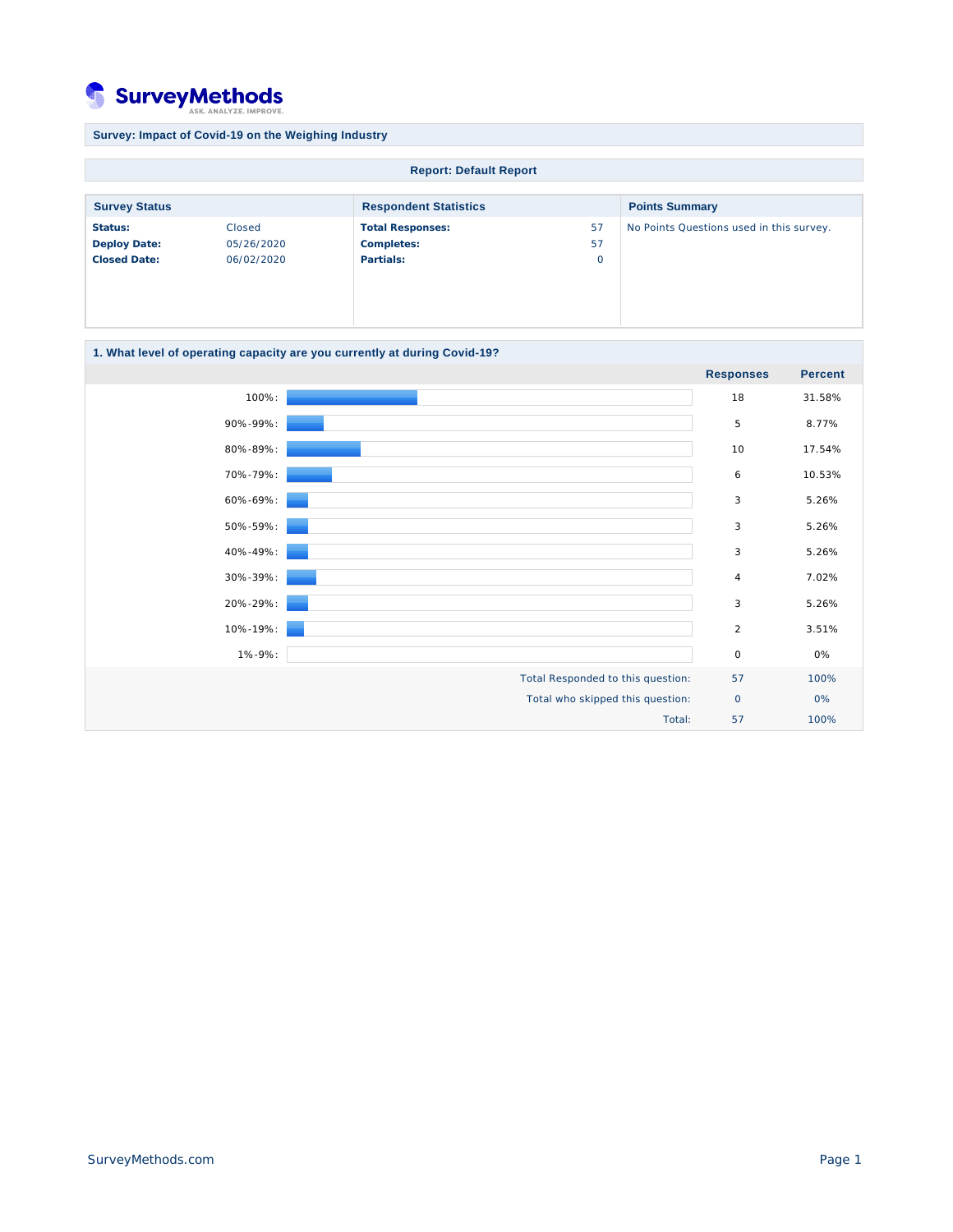## **SurveyMethods ST**

**Survey: Impact of Covid-19 on the Weighing Industry Report: Default Report Survey Status Respondent Statistics Respondent Statistics Points Summary Status:** Closed **Deploy Date:** 05/26/2020 **Closed Date:** 06/02/2020 **Total Responses:** 57 **Completes:** 57 **Partials:** 0 No Points Questions used in this survey.

## **1. What level of operating capacity are you currently at during Covid-19?**

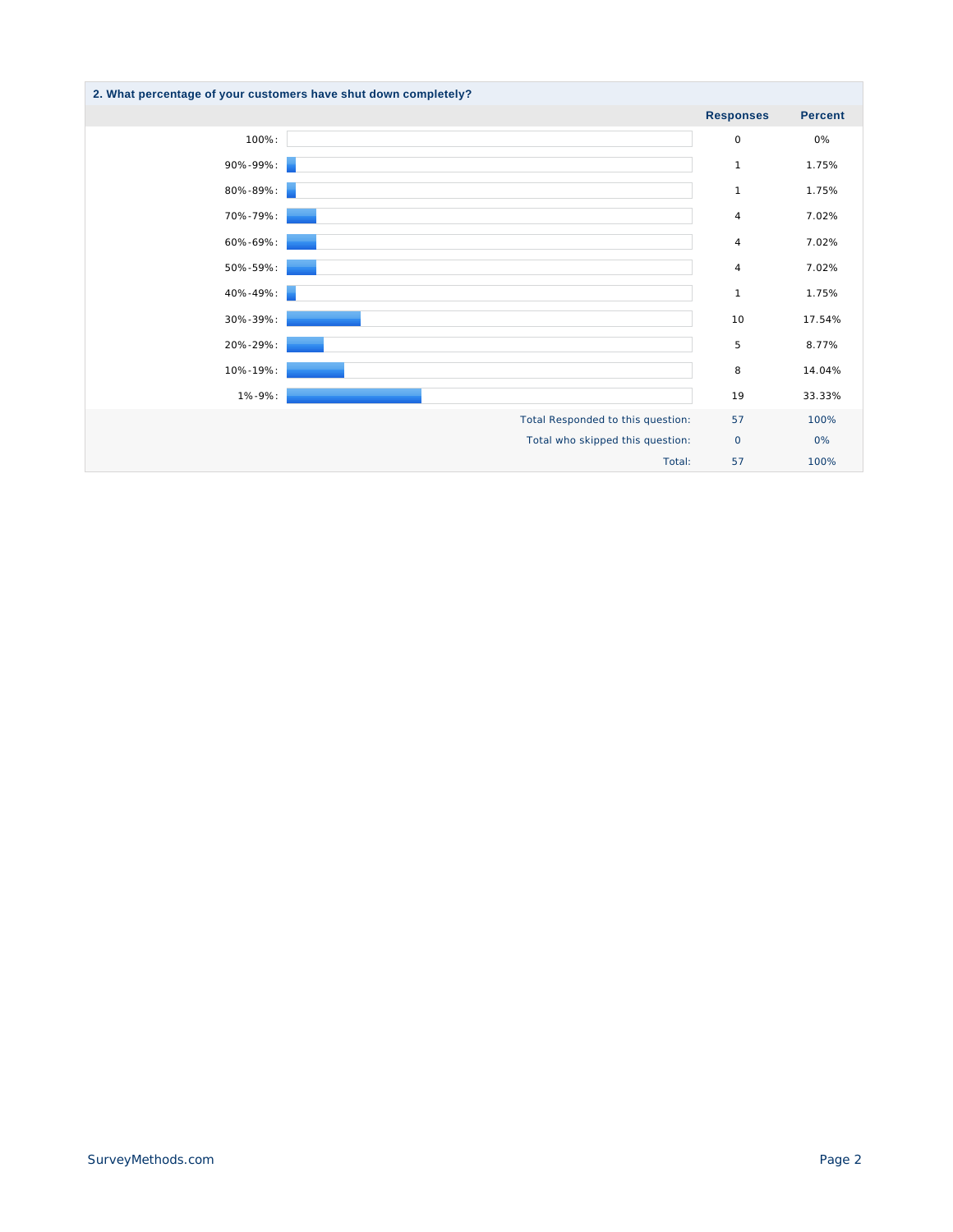| 2. What percentage of your customers have shut down completely? |                                   |                  |                |
|-----------------------------------------------------------------|-----------------------------------|------------------|----------------|
|                                                                 |                                   | <b>Responses</b> | <b>Percent</b> |
| 100%:                                                           |                                   | $\circ$          | 0%             |
| 90%-99%:                                                        |                                   | $\mathbf{1}$     | 1.75%          |
| 80%-89%:                                                        |                                   | $\mathbf{1}$     | 1.75%          |
| 70%-79%:                                                        |                                   | 4                | 7.02%          |
| 60%-69%:                                                        |                                   | 4                | 7.02%          |
| 50%-59%:                                                        |                                   | $\overline{4}$   | 7.02%          |
| 40%-49%:                                                        |                                   | $\mathbf{1}$     | 1.75%          |
| 30%-39%:                                                        |                                   | 10               | 17.54%         |
| 20%-29%:                                                        |                                   | 5                | 8.77%          |
| 10%-19%:                                                        |                                   | 8                | 14.04%         |
| 1%-9%:                                                          |                                   | 19               | 33.33%         |
|                                                                 | Total Responded to this question: | 57               | 100%           |
|                                                                 | Total who skipped this question:  | $\circ$          | 0%             |
|                                                                 | Total:                            | 57               | 100%           |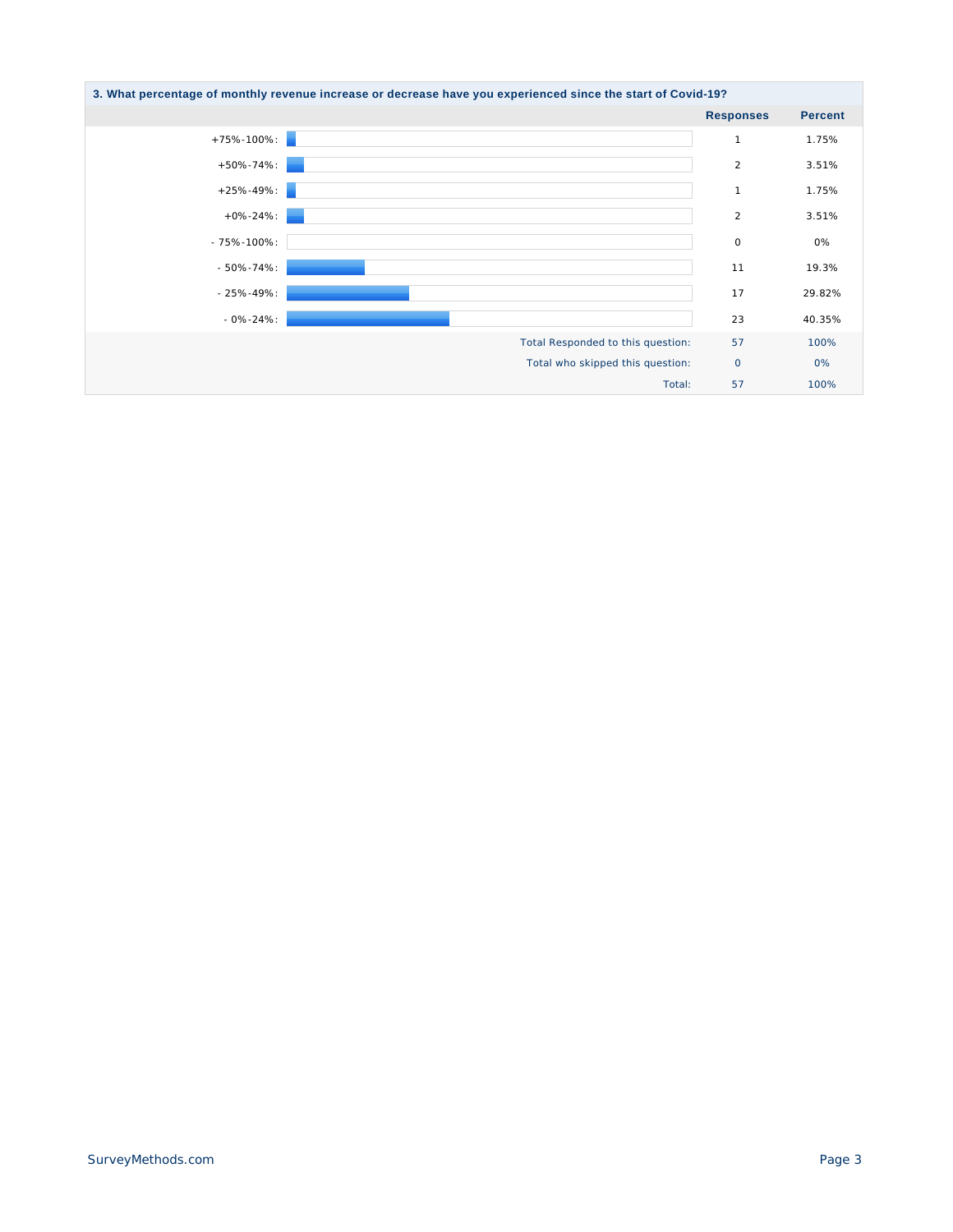| 3. What percentage of monthly revenue increase or decrease have you experienced since the start of Covid-19? |                  |                |  |  |
|--------------------------------------------------------------------------------------------------------------|------------------|----------------|--|--|
|                                                                                                              | <b>Responses</b> | <b>Percent</b> |  |  |
| $+75\% - 100\%$ :                                                                                            | $\mathbf{1}$     | 1.75%          |  |  |
| $+50\% - 74\%$                                                                                               | $\overline{2}$   | 3.51%          |  |  |
| $+25\% - 49\%$ :                                                                                             | $\mathbf{1}$     | 1.75%          |  |  |
| $+0\% - 24\%$ :                                                                                              | 2                | 3.51%          |  |  |
| $-75\% - 100\%$ :                                                                                            | $\circ$          | 0%             |  |  |
| $-50\% - 74\%$ :                                                                                             | 11               | 19.3%          |  |  |
| $-25% - 49%$                                                                                                 | 17               | 29.82%         |  |  |
| $-0\% - 24\%$ :                                                                                              | 23               | 40.35%         |  |  |
| Total Responded to this question:                                                                            | 57               | 100%           |  |  |
| Total who skipped this question:                                                                             | $\circ$          | 0%             |  |  |
| Total:                                                                                                       | 57               | 100%           |  |  |